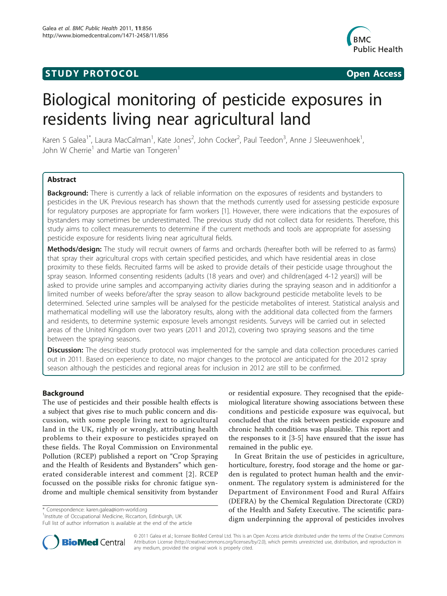# **STUDY PROTOCOL** And the state of the state of the state of the state of the state of the state of the state of the state of the state of the state of the state of the state of the state of the state of the state of the st



# Biological monitoring of pesticide exposures in residents living near agricultural land

Karen S Galea<sup>1\*</sup>, Laura MacCalman<sup>1</sup>, Kate Jones<sup>2</sup>, John Cocker<sup>2</sup>, Paul Teedon<sup>3</sup>, Anne J Sleeuwenhoek<sup>1</sup> , John W Cherrie<sup>1</sup> and Martie van Tongeren<sup>1</sup>

# Abstract

Background: There is currently a lack of reliable information on the exposures of residents and bystanders to pesticides in the UK. Previous research has shown that the methods currently used for assessing pesticide exposure for regulatory purposes are appropriate for farm workers [\[1\]](#page-8-0). However, there were indications that the exposures of bystanders may sometimes be underestimated. The previous study did not collect data for residents. Therefore, this study aims to collect measurements to determine if the current methods and tools are appropriate for assessing pesticide exposure for residents living near agricultural fields.

Methods/design: The study will recruit owners of farms and orchards (hereafter both will be referred to as farms) that spray their agricultural crops with certain specified pesticides, and which have residential areas in close proximity to these fields. Recruited farms will be asked to provide details of their pesticide usage throughout the spray season. Informed consenting residents (adults (18 years and over) and children(aged 4-12 years)) will be asked to provide urine samples and accompanying activity diaries during the spraying season and in additionfor a limited number of weeks before/after the spray season to allow background pesticide metabolite levels to be determined. Selected urine samples will be analysed for the pesticide metabolites of interest. Statistical analysis and mathematical modelling will use the laboratory results, along with the additional data collected from the farmers and residents, to determine systemic exposure levels amongst residents. Surveys will be carried out in selected areas of the United Kingdom over two years (2011 and 2012), covering two spraying seasons and the time between the spraying seasons.

**Discussion:** The described study protocol was implemented for the sample and data collection procedures carried out in 2011. Based on experience to date, no major changes to the protocol are anticipated for the 2012 spray season although the pesticides and regional areas for inclusion in 2012 are still to be confirmed.

# Background

The use of pesticides and their possible health effects is a subject that gives rise to much public concern and discussion, with some people living next to agricultural land in the UK, rightly or wrongly, attributing health problems to their exposure to pesticides sprayed on these fields. The Royal Commission on Environmental Pollution (RCEP) published a report on "Crop Spraying and the Health of Residents and Bystanders" which generated considerable interest and comment [[2](#page-8-0)]. RCEP focussed on the possible risks for chronic fatigue syndrome and multiple chemical sensitivity from bystander

\* Correspondence: [karen.galea@iom-world.org](mailto:karen.galea@iom-world.org)

<sup>1</sup>Institute of Occupational Medicine, Riccarton, Edinburgh, UK Full list of author information is available at the end of the article or residential exposure. They recognised that the epidemiological literature showing associations between these conditions and pesticide exposure was equivocal, but concluded that the risk between pesticide exposure and chronic health conditions was plausible. This report and the responses to it [\[3](#page-8-0)-[5\]](#page-8-0) have ensured that the issue has remained in the public eye.

In Great Britain the use of pesticides in agriculture, horticulture, forestry, food storage and the home or garden is regulated to protect human health and the environment. The regulatory system is administered for the Department of Environment Food and Rural Affairs (DEFRA) by the Chemical Regulation Directorate (CRD) of the Health and Safety Executive. The scientific paradigm underpinning the approval of pesticides involves



© 2011 Galea et al.; licensee BioMed Central Ltd. This is an Open Access article distributed under the terms of the Creative Commons Attribution License [\(http://creativecommons.org/licenses/by/2.0](http://creativecommons.org/licenses/by/2.0)), which permits unrestricted use, distribution, and reproduction in any medium, provided the original work is properly cited.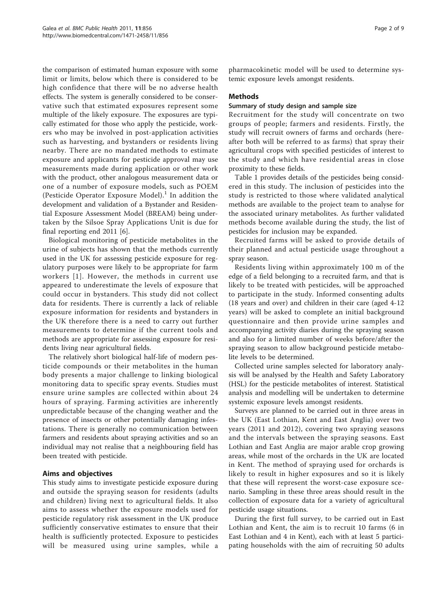the comparison of estimated human exposure with some limit or limits, below which there is considered to be high confidence that there will be no adverse health effects. The system is generally considered to be conservative such that estimated exposures represent some multiple of the likely exposure. The exposures are typically estimated for those who apply the pesticide, workers who may be involved in post-application activities such as harvesting, and bystanders or residents living nearby. There are no mandated methods to estimate exposure and applicants for pesticide approval may use measurements made during application or other work with the product, other analogous measurement data or one of a number of exposure models, such as POEM (Pesticide Operator Exposure Model).<sup>1</sup> In addition the development and validation of a Bystander and Residential Exposure Assessment Model (BREAM) being undertaken by the Silsoe Spray Applications Unit is due for final reporting end 2011 [[6\]](#page-8-0).

Biological monitoring of pesticide metabolites in the urine of subjects has shown that the methods currently used in the UK for assessing pesticide exposure for regulatory purposes were likely to be appropriate for farm workers [[1\]](#page-8-0). However, the methods in current use appeared to underestimate the levels of exposure that could occur in bystanders. This study did not collect data for residents. There is currently a lack of reliable exposure information for residents and bystanders in the UK therefore there is a need to carry out further measurements to determine if the current tools and methods are appropriate for assessing exposure for residents living near agricultural fields.

The relatively short biological half-life of modern pesticide compounds or their metabolites in the human body presents a major challenge to linking biological monitoring data to specific spray events. Studies must ensure urine samples are collected within about 24 hours of spraying. Farming activities are inherently unpredictable because of the changing weather and the presence of insects or other potentially damaging infestations. There is generally no communication between farmers and residents about spraying activities and so an individual may not realise that a neighbouring field has been treated with pesticide.

# Aims and objectives

This study aims to investigate pesticide exposure during and outside the spraying season for residents (adults and children) living next to agricultural fields. It also aims to assess whether the exposure models used for pesticide regulatory risk assessment in the UK produce sufficiently conservative estimates to ensure that their health is sufficiently protected. Exposure to pesticides will be measured using urine samples, while a

pharmacokinetic model will be used to determine systemic exposure levels amongst residents.

## Methods

#### Summary of study design and sample size

Recruitment for the study will concentrate on two groups of people; farmers and residents. Firstly, the study will recruit owners of farms and orchards (hereafter both will be referred to as farms) that spray their agricultural crops with specified pesticides of interest to the study and which have residential areas in close proximity to these fields.

Table [1](#page-2-0) provides details of the pesticides being considered in this study. The inclusion of pesticides into the study is restricted to those where validated analytical methods are available to the project team to analyse for the associated urinary metabolites. As further validated methods become available during the study, the list of pesticides for inclusion may be expanded.

Recruited farms will be asked to provide details of their planned and actual pesticide usage throughout a spray season.

Residents living within approximately 100 m of the edge of a field belonging to a recruited farm, and that is likely to be treated with pesticides, will be approached to participate in the study. Informed consenting adults (18 years and over) and children in their care (aged 4-12 years) will be asked to complete an initial background questionnaire and then provide urine samples and accompanying activity diaries during the spraying season and also for a limited number of weeks before/after the spraying season to allow background pesticide metabolite levels to be determined.

Collected urine samples selected for laboratory analysis will be analysed by the Health and Safety Laboratory (HSL) for the pesticide metabolites of interest. Statistical analysis and modelling will be undertaken to determine systemic exposure levels amongst residents.

Surveys are planned to be carried out in three areas in the UK (East Lothian, Kent and East Anglia) over two years (2011 and 2012), covering two spraying seasons and the intervals between the spraying seasons. East Lothian and East Anglia are major arable crop growing areas, while most of the orchards in the UK are located in Kent. The method of spraying used for orchards is likely to result in higher exposures and so it is likely that these will represent the worst-case exposure scenario. Sampling in these three areas should result in the collection of exposure data for a variety of agricultural pesticide usage situations.

During the first full survey, to be carried out in East Lothian and Kent, the aim is to recruit 10 farms (6 in East Lothian and 4 in Kent), each with at least 5 participating households with the aim of recruiting 50 adults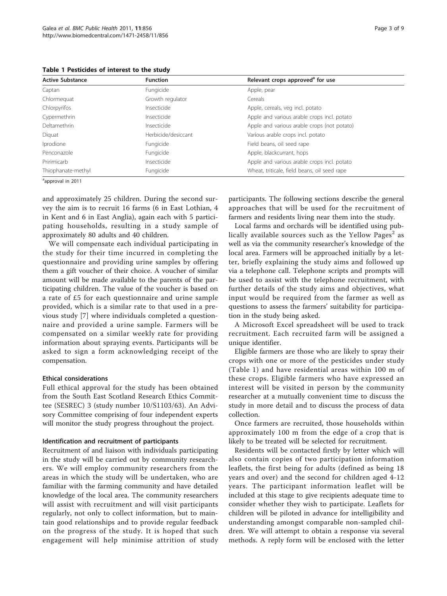<span id="page-2-0"></span>Table 1 Pesticides of interest to the study

| Relevant crops approved <sup>a</sup> for use<br><b>Active Substance</b><br><b>Function</b> |                     |                                              |  |
|--------------------------------------------------------------------------------------------|---------------------|----------------------------------------------|--|
| Captan                                                                                     | Fungicide           | Apple, pear                                  |  |
| Chlormeguat                                                                                | Growth regulator    | Cereals                                      |  |
| Chlorpyrifos                                                                               | Insecticide         | Apple, cereals, veg incl. potato             |  |
| Cypermethrin                                                                               | Insecticide         | Apple and various arable crops incl. potato  |  |
| Deltamethrin                                                                               | Insecticide         | Apple and various arable crops (not potato)  |  |
| Diguat                                                                                     | Herbicide/desiccant | Various arable crops incl. potato            |  |
| Iprodione                                                                                  | Fungicide           | Field beans, oil seed rape                   |  |
| Penconazole                                                                                | Fungicide           | Apple, blackcurrant, hops                    |  |
| Pririmicarb                                                                                | Insecticide         | Apple and various arable crops incl. potato  |  |
| Thiophanate-methyl                                                                         | Fungicide           | Wheat, triticale, field beans, oil seed rape |  |

<sup>a</sup>approval in 2011

and approximately 25 children. During the second survey the aim is to recruit 16 farms (6 in East Lothian, 4 in Kent and 6 in East Anglia), again each with 5 participating households, resulting in a study sample of approximately 80 adults and 40 children.

We will compensate each individual participating in the study for their time incurred in completing the questionnaire and providing urine samples by offering them a gift voucher of their choice. A voucher of similar amount will be made available to the parents of the participating children. The value of the voucher is based on a rate of £5 for each questionnaire and urine sample provided, which is a similar rate to that used in a previous study [\[7](#page-8-0)] where individuals completed a questionnaire and provided a urine sample. Farmers will be compensated on a similar weekly rate for providing information about spraying events. Participants will be asked to sign a form acknowledging receipt of the compensation.

# Ethical considerations

Full ethical approval for the study has been obtained from the South East Scotland Research Ethics Committee (SESREC) 3 (study number 10/S1103/63). An Advisory Committee comprising of four independent experts will monitor the study progress throughout the project.

# Identification and recruitment of participants

Recruitment of and liaison with individuals participating in the study will be carried out by community researchers. We will employ community researchers from the areas in which the study will be undertaken, who are familiar with the farming community and have detailed knowledge of the local area. The community researchers will assist with recruitment and will visit participants regularly, not only to collect information, but to maintain good relationships and to provide regular feedback on the progress of the study. It is hoped that such engagement will help minimise attrition of study

participants. The following sections describe the general approaches that will be used for the recruitment of farmers and residents living near them into the study.

Local farms and orchards will be identified using publically available sources such as the Yellow Pages<sup>2</sup> as well as via the community researcher's knowledge of the local area. Farmers will be approached initially by a letter, briefly explaining the study aims and followed up via a telephone call. Telephone scripts and prompts will be used to assist with the telephone recruitment, with further details of the study aims and objectives, what input would be required from the farmer as well as questions to assess the farmers' suitability for participation in the study being asked.

A Microsoft Excel spreadsheet will be used to track recruitment. Each recruited farm will be assigned a unique identifier.

Eligible farmers are those who are likely to spray their crops with one or more of the pesticides under study (Table 1) and have residential areas within 100 m of these crops. Eligible farmers who have expressed an interest will be visited in person by the community researcher at a mutually convenient time to discuss the study in more detail and to discuss the process of data collection.

Once farmers are recruited, those households within approximately 100 m from the edge of a crop that is likely to be treated will be selected for recruitment.

Residents will be contacted firstly by letter which will also contain copies of two participation information leaflets, the first being for adults (defined as being 18 years and over) and the second for children aged 4-12 years. The participant information leaflet will be included at this stage to give recipients adequate time to consider whether they wish to participate. Leaflets for children will be piloted in advance for intelligibility and understanding amongst comparable non-sampled children. We will attempt to obtain a response via several methods. A reply form will be enclosed with the letter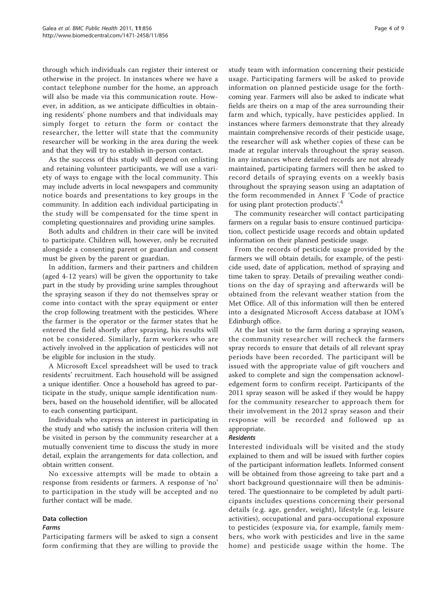through which individuals can register their interest or otherwise in the project. In instances where we have a contact telephone number for the home, an approach will also be made via this communication route. However, in addition, as we anticipate difficulties in obtaining residents' phone numbers and that individuals may simply forget to return the form or contact the researcher, the letter will state that the community researcher will be working in the area during the week and that they will try to establish in-person contact.

As the success of this study will depend on enlisting and retaining volunteer participants, we will use a variety of ways to engage with the local community. This may include adverts in local newspapers and community notice boards and presentations to key groups in the community. In addition each individual participating in the study will be compensated for the time spent in completing questionnaires and providing urine samples.

Both adults and children in their care will be invited to participate. Children will, however, only be recruited alongside a consenting parent or guardian and consent must be given by the parent or guardian.

In addition, farmers and their partners and children (aged 4-12 years) will be given the opportunity to take part in the study by providing urine samples throughout the spraying season if they do not themselves spray or come into contact with the spray equipment or enter the crop following treatment with the pesticides. Where the farmer is the operator or the farmer states that he entered the field shortly after spraying, his results will not be considered. Similarly, farm workers who are actively involved in the application of pesticides will not be eligible for inclusion in the study.

A Microsoft Excel spreadsheet will be used to track residents' recruitment. Each household will be assigned a unique identifier. Once a household has agreed to participate in the study, unique sample identification numbers, based on the household identifier, will be allocated to each consenting participant.

Individuals who express an interest in participating in the study and who satisfy the inclusion criteria will then be visited in person by the community researcher at a mutually convenient time to discuss the study in more detail, explain the arrangements for data collection, and obtain written consent.

No excessive attempts will be made to obtain a response from residents or farmers. A response of 'no' to participation in the study will be accepted and no further contact will be made.

#### Data collection

#### Farms

Participating farmers will be asked to sign a consent form confirming that they are willing to provide the study team with information concerning their pesticide usage. Participating farmers will be asked to provide information on planned pesticide usage for the forthcoming year. Farmers will also be asked to indicate what fields are theirs on a map of the area surrounding their farm and which, typically, have pesticides applied. In instances where farmers demonstrate that they already maintain comprehensive records of their pesticide usage, the researcher will ask whether copies of these can be made at regular intervals throughout the spray season. In any instances where detailed records are not already maintained, participating farmers will then be asked to record details of spraying events on a weekly basis throughout the spraying season using an adaptation of the form recommended in Annex F 'Code of practice for using plant protection products'. 4

The community researcher will contact participating farmers on a regular basis to ensure continued participation, collect pesticide usage records and obtain updated information on their planned pesticide usage.

From the records of pesticide usage provided by the farmers we will obtain details, for example, of the pesticide used, date of application, method of spraying and time taken to spray. Details of prevailing weather conditions on the day of spraying and afterwards will be obtained from the relevant weather station from the Met Office. All of this information will then be entered into a designated Microsoft Access database at IOM's Edinburgh office.

At the last visit to the farm during a spraying season, the community researcher will recheck the farmers spray records to ensure that details of all relevant spray periods have been recorded. The participant will be issued with the appropriate value of gift vouchers and asked to complete and sign the compensation acknowledgement form to confirm receipt. Participants of the 2011 spray season will be asked if they would be happy for the community researcher to approach them for their involvement in the 2012 spray season and their response will be recorded and followed up as appropriate.

#### Residents

Interested individuals will be visited and the study explained to them and will be issued with further copies of the participant information leaflets. Informed consent will be obtained from those agreeing to take part and a short background questionnaire will then be administered. The questionnaire to be completed by adult participants includes questions concerning their personal details (e.g. age, gender, weight), lifestyle (e.g. leisure activities), occupational and para-occupational exposure to pesticides (exposure via, for example, family members, who work with pesticides and live in the same home) and pesticide usage within the home. The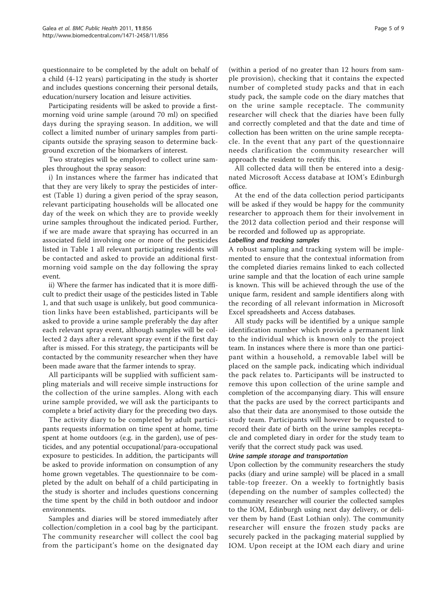questionnaire to be completed by the adult on behalf of a child (4-12 years) participating in the study is shorter and includes questions concerning their personal details, education/nursery location and leisure activities.

Participating residents will be asked to provide a firstmorning void urine sample (around 70 ml) on specified days during the spraying season. In addition, we will collect a limited number of urinary samples from participants outside the spraying season to determine background excretion of the biomarkers of interest.

Two strategies will be employed to collect urine samples throughout the spray season:

i) In instances where the farmer has indicated that that they are very likely to spray the pesticides of interest (Table [1\)](#page-2-0) during a given period of the spray season, relevant participating households will be allocated one day of the week on which they are to provide weekly urine samples throughout the indicated period. Further, if we are made aware that spraying has occurred in an associated field involving one or more of the pesticides listed in Table [1](#page-2-0) all relevant participating residents will be contacted and asked to provide an additional firstmorning void sample on the day following the spray event.

ii) Where the farmer has indicated that it is more difficult to predict their usage of the pesticides listed in Table [1,](#page-2-0) and that such usage is unlikely, but good communication links have been established, participants will be asked to provide a urine sample preferably the day after each relevant spray event, although samples will be collected 2 days after a relevant spray event if the first day after is missed. For this strategy, the participants will be contacted by the community researcher when they have been made aware that the farmer intends to spray.

All participants will be supplied with sufficient sampling materials and will receive simple instructions for the collection of the urine samples. Along with each urine sample provided, we will ask the participants to complete a brief activity diary for the preceding two days.

The activity diary to be completed by adult participants requests information on time spent at home, time spent at home outdoors (e.g. in the garden), use of pesticides, and any potential occupational/para-occupational exposure to pesticides. In addition, the participants will be asked to provide information on consumption of any home grown vegetables. The questionnaire to be completed by the adult on behalf of a child participating in the study is shorter and includes questions concerning the time spent by the child in both outdoor and indoor environments.

Samples and diaries will be stored immediately after collection/completion in a cool bag by the participant. The community researcher will collect the cool bag from the participant's home on the designated day

(within a period of no greater than 12 hours from sample provision), checking that it contains the expected number of completed study packs and that in each study pack, the sample code on the diary matches that on the urine sample receptacle. The community researcher will check that the diaries have been fully and correctly completed and that the date and time of collection has been written on the urine sample receptacle. In the event that any part of the questionnaire needs clarification the community researcher will approach the resident to rectify this.

All collected data will then be entered into a designated Microsoft Access database at IOM's Edinburgh office.

At the end of the data collection period participants will be asked if they would be happy for the community researcher to approach them for their involvement in the 2012 data collection period and their response will be recorded and followed up as appropriate.

#### Labelling and tracking samples

A robust sampling and tracking system will be implemented to ensure that the contextual information from the completed diaries remains linked to each collected urine sample and that the location of each urine sample is known. This will be achieved through the use of the unique farm, resident and sample identifiers along with the recording of all relevant information in Microsoft Excel spreadsheets and Access databases.

All study packs will be identified by a unique sample identification number which provide a permanent link to the individual which is known only to the project team. In instances where there is more than one participant within a household, a removable label will be placed on the sample pack, indicating which individual the pack relates to. Participants will be instructed to remove this upon collection of the urine sample and completion of the accompanying diary. This will ensure that the packs are used by the correct participants and also that their data are anonymised to those outside the study team. Participants will however be requested to record their date of birth on the urine samples receptacle and completed diary in order for the study team to verify that the correct study pack was used.

# Urine sample storage and transportation

Upon collection by the community researchers the study packs (diary and urine sample) will be placed in a small table-top freezer. On a weekly to fortnightly basis (depending on the number of samples collected) the community researcher will courier the collected samples to the IOM, Edinburgh using next day delivery, or deliver them by hand (East Lothian only). The community researcher will ensure the frozen study packs are securely packed in the packaging material supplied by IOM. Upon receipt at the IOM each diary and urine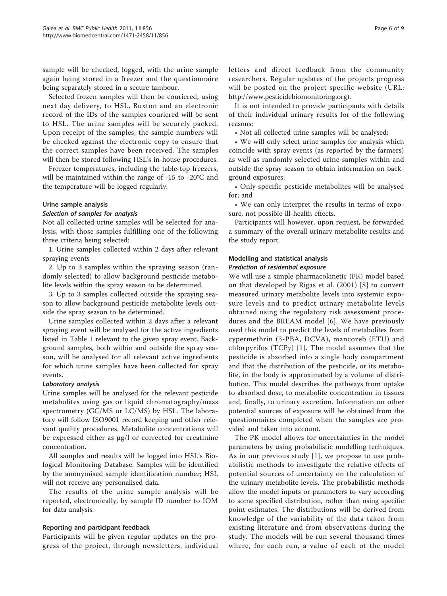sample will be checked, logged, with the urine sample again being stored in a freezer and the questionnaire being separately stored in a secure tambour.

Selected frozen samples will then be couriered, using next day delivery, to HSL, Buxton and an electronic record of the IDs of the samples couriered will be sent to HSL. The urine samples will be securely packed. Upon receipt of the samples, the sample numbers will be checked against the electronic copy to ensure that the correct samples have been received. The samples will then be stored following HSL's in-house procedures.

Freezer temperatures, including the table-top freezers, will be maintained within the range of -15 to -20°C and the temperature will be logged regularly.

#### Urine sample analysis

#### Selection of samples for analysis

Not all collected urine samples will be selected for analysis, with those samples fulfilling one of the following three criteria being selected:

1. Urine samples collected within 2 days after relevant spraying events

2. Up to 3 samples within the spraying season (randomly selected) to allow background pesticide metabolite levels within the spray season to be determined.

3. Up to 3 samples collected outside the spraying season to allow background pesticide metabolite levels outside the spray season to be determined.

Urine samples collected within 2 days after a relevant spraying event will be analysed for the active ingredients listed in Table [1](#page-2-0) relevant to the given spray event. Background samples, both within and outside the spray season, will be analysed for all relevant active ingredients for which urine samples have been collected for spray events.

#### Laboratory analysis

Urine samples will be analysed for the relevant pesticide metabolites using gas or liquid chromatography/mass spectrometry (GC/MS or LC/MS) by HSL. The laboratory will follow ISO9001 record keeping and other relevant quality procedures. Metabolite concentrations will be expressed either as μg/l or corrected for creatinine concentration.

All samples and results will be logged into HSL's Biological Monitoring Database. Samples will be identified by the anonymised sample identification number; HSL will not receive any personalised data.

The results of the urine sample analysis will be reported, electronically, by sample ID number to IOM for data analysis.

#### Reporting and participant feedback

Participants will be given regular updates on the progress of the project, through newsletters, individual letters and direct feedback from the community researchers. Regular updates of the projects progress will be posted on the project specific website (URL: [http://www.pesticidebiomonitoring.org\)](http://www.pesticidebiomonitoring.org).

It is not intended to provide participants with details of their individual urinary results for of the following reasons:

• Not all collected urine samples will be analysed;

• We will only select urine samples for analysis which coincide with spray events (as reported by the farmers) as well as randomly selected urine samples within and outside the spray season to obtain information on background exposures;

• Only specific pesticide metabolites will be analysed for; and

• We can only interpret the results in terms of exposure, not possible ill-health effects.

Participants will however, upon request, be forwarded a summary of the overall urinary metabolite results and the study report.

### Modelling and statistical analysis Prediction of residential exposure

We will use a simple pharmacokinetic (PK) model based on that developed by Rigas et al. (2001) [[8\]](#page-8-0) to convert measured urinary metabolite levels into systemic exposure levels and to predict urinary metabolite levels obtained using the regulatory risk assessment procedures and the BREAM model [\[6\]](#page-8-0). We have previously used this model to predict the levels of metabolites from cypermethrin (3-PBA, DCVA), mancozeb (ETU) and chlorpyrifos (TCPy) [[1](#page-8-0)]. The model assumes that the pesticide is absorbed into a single body compartment and that the distribution of the pesticide, or its metabolite, in the body is approximated by a volume of distribution. This model describes the pathways from uptake to absorbed dose, to metabolite concentration in tissues and, finally, to urinary excretion. Information on other potential sources of exposure will be obtained from the questionnaires completed when the samples are provided and taken into account.

The PK model allows for uncertainties in the model parameters by using probabilistic modelling techniques. As in our previous study [[1\]](#page-8-0), we propose to use probabilistic methods to investigate the relative effects of potential sources of uncertainty on the calculation of the urinary metabolite levels. The probabilistic methods allow the model inputs or parameters to vary according to some specified distribution, rather than using specific point estimates. The distributions will be derived from knowledge of the variability of the data taken from existing literature and from observations during the study. The models will be run several thousand times where, for each run, a value of each of the model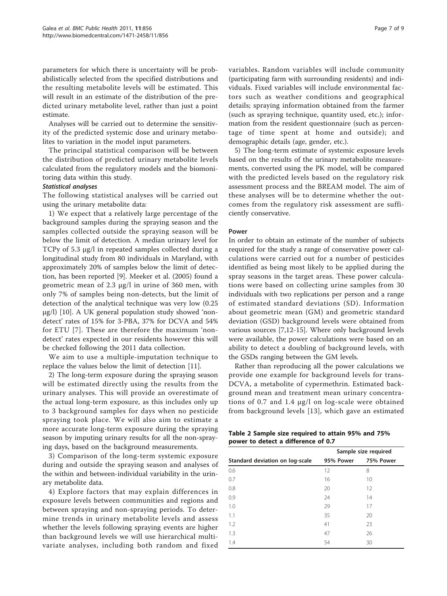<span id="page-6-0"></span>parameters for which there is uncertainty will be probabilistically selected from the specified distributions and the resulting metabolite levels will be estimated. This will result in an estimate of the distribution of the predicted urinary metabolite level, rather than just a point estimate.

Analyses will be carried out to determine the sensitivity of the predicted systemic dose and urinary metabolites to variation in the model input parameters.

The principal statistical comparison will be between the distribution of predicted urinary metabolite levels calculated from the regulatory models and the biomonitoring data within this study.

#### Statistical analyses

The following statistical analyses will be carried out using the urinary metabolite data:

1) We expect that a relatively large percentage of the background samples during the spraying season and the samples collected outside the spraying season will be below the limit of detection. A median urinary level for TCPy of 5.3 μg/l in repeated samples collected during a longitudinal study from 80 individuals in Maryland, with approximately 20% of samples below the limit of detection, has been reported [[9\]](#page-8-0). Meeker et al. (2005) found a geometric mean of 2.3 μg/l in urine of 360 men, with only 7% of samples being non-detects, but the limit of detection of the analytical technique was very low (0.25 μg/l) [[10\]](#page-8-0). A UK general population study showed 'nondetect' rates of 15% for 3-PBA, 37% for DCVA and 54% for ETU [[7\]](#page-8-0). These are therefore the maximum 'nondetect' rates expected in our residents however this will be checked following the 2011 data collection.

We aim to use a multiple-imputation technique to replace the values below the limit of detection [[11](#page-8-0)].

2) The long-term exposure during the spraying season will be estimated directly using the results from the urinary analyses. This will provide an overestimate of the actual long-term exposure, as this includes only up to 3 background samples for days when no pesticide spraying took place. We will also aim to estimate a more accurate long-term exposure during the spraying season by imputing urinary results for all the non-spraying days, based on the background measurements.

3) Comparison of the long-term systemic exposure during and outside the spraying season and analyses of the within and between-individual variability in the urinary metabolite data.

4) Explore factors that may explain differences in exposure levels between communities and regions and between spraying and non-spraying periods. To determine trends in urinary metabolite levels and assess whether the levels following spraying events are higher than background levels we will use hierarchical multivariate analyses, including both random and fixed variables. Random variables will include community (participating farm with surrounding residents) and individuals. Fixed variables will include environmental factors such as weather conditions and geographical details; spraying information obtained from the farmer (such as spraying technique, quantity used, etc.); information from the resident questionnaire (such as percentage of time spent at home and outside); and demographic details (age, gender, etc.).

5) The long-term estimate of systemic exposure levels based on the results of the urinary metabolite measurements, converted using the PK model, will be compared with the predicted levels based on the regulatory risk assessment process and the BREAM model. The aim of these analyses will be to determine whether the outcomes from the regulatory risk assessment are sufficiently conservative.

#### Power

In order to obtain an estimate of the number of subjects required for the study a range of conservative power calculations were carried out for a number of pesticides identified as being most likely to be applied during the spray seasons in the target areas. These power calculations were based on collecting urine samples from 30 individuals with two replications per person and a range of estimated standard deviations (SD). Information about geometric mean (GM) and geometric standard deviation (GSD) background levels were obtained from various sources [\[7,12](#page-8-0)-[15\]](#page-8-0). Where only background levels were available, the power calculations were based on an ability to detect a doubling of background levels, with the GSDs ranging between the GM levels.

Rather than reproducing all the power calculations we provide one example for background levels for trans-DCVA, a metabolite of cypermethrin. Estimated background mean and treatment mean urinary concentrations of 0.7 and 1.4 μg/l on log-scale were obtained from background levels [[13](#page-8-0)], which gave an estimated

Table 2 Sample size required to attain 95% and 75% power to detect a difference of 0.7

|                                 | Sample size required |           |
|---------------------------------|----------------------|-----------|
| Standard deviation on log-scale | 95% Power            | 75% Power |
| 0.6                             | 12                   | 8         |
| 0.7                             | 16                   | 10        |
| 0.8                             | 20                   | 12        |
| 0.9                             | 24                   | 14        |
| 1.0                             | 29                   | 17        |
| 1.1                             | 35                   | 20        |
| 1.2                             | 41                   | 23        |
| 1.3                             | 47                   | 26        |
| 1.4                             | 54                   | 30        |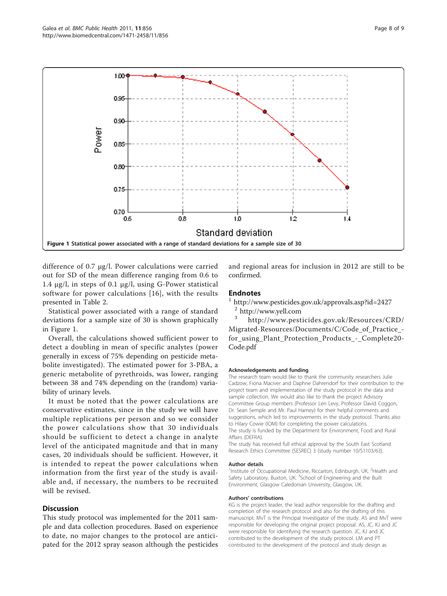

difference of 0.7 μg/l. Power calculations were carried out for SD of the mean difference ranging from 0.6 to 1.4 μg/l, in steps of 0.1 μg/l, using G-Power statistical software for power calculations [[16](#page-8-0)], with the results presented in Table [2.](#page-6-0)

Statistical power associated with a range of standard deviations for a sample size of 30 is shown graphically in Figure 1.

Overall, the calculations showed sufficient power to detect a doubling in mean of specific analytes (power generally in excess of 75% depending on pesticide metabolite investigated). The estimated power for 3-PBA, a generic metabolite of pyrethroids, was lower, ranging between 38 and 74% depending on the (random) variability of urinary levels.

It must be noted that the power calculations are conservative estimates, since in the study we will have multiple replications per person and so we consider the power calculations show that 30 individuals should be sufficient to detect a change in analyte level of the anticipated magnitude and that in many cases, 20 individuals should be sufficient. However, it is intended to repeat the power calculations when information from the first year of the study is available and, if necessary, the numbers to be recruited will be revised.

# **Discussion**

This study protocol was implemented for the 2011 sample and data collection procedures. Based on experience to date, no major changes to the protocol are anticipated for the 2012 spray season although the pesticides and regional areas for inclusion in 2012 are still to be confirmed.

# Endnotes

<sup>1</sup> <http://www.pesticides.gov.uk/approvals.asp?id=2427>

<sup>2</sup> <http://www.yell.com>

<sup>3</sup> [http://www.pesticides.gov.uk/Resources/CRD/](http://www.pesticides.gov.uk/Resources/CRD/Migrated-Resources/Documents/C/Code_of_Practice_for_using_Plant_Protection_Products_-_Complete20Code.pdf) [Migrated-Resources/Documents/C/Code\\_of\\_Practice\\_](http://www.pesticides.gov.uk/Resources/CRD/Migrated-Resources/Documents/C/Code_of_Practice_for_using_Plant_Protection_Products_-_Complete20Code.pdf) [for\\_using\\_Plant\\_Protection\\_Products\\_-\\_Complete20-](http://www.pesticides.gov.uk/Resources/CRD/Migrated-Resources/Documents/C/Code_of_Practice_for_using_Plant_Protection_Products_-_Complete20Code.pdf) [Code.pdf](http://www.pesticides.gov.uk/Resources/CRD/Migrated-Resources/Documents/C/Code_of_Practice_for_using_Plant_Protection_Products_-_Complete20Code.pdf)

#### Acknowledgements and funding

The research team would like to thank the community researchers Julie Cadzow, Fiona Maciver and Daphne Dahrendorf for their contribution to the project team and implementation of the study protocol in the data and sample collection. We would also like to thank the project Advisory Committee Group members (Professor Len Levy, Professor David Coggon, Dr. Sean Semple and Mr. Paul Hamey) for their helpful comments and suggestions, which led to improvements in the study protocol. Thanks also to Hilary Cowie (IOM) for completing the power calculations. The study is funded by the Department for Environment, Food and Rural Affairs (DEFRA).

The study has received full ethical approval by the South East Scotland Research Ethics Committee (SESREC) 3 (study number 10/S1103/63).

#### Author details

<sup>1</sup>Institute of Occupational Medicine, Riccarton, Edinburgh, UK. <sup>2</sup>Health and Safety Laboratory, Buxton, UK. <sup>3</sup>School of Engineering and the Built Environment, Glasgow Caledonian University, Glasgow, UK.

#### Authors' contributions

KG is the project leader, the lead author responsible for the drafting and completion of the research protocol and also for the drafting of this manuscript. MvT is the Principal Investigator of the study. AS and MvT were responsible for developing the original project proposal. AS, JC, KJ and JC were responsible for identifying the research question. JC, KJ and JC contributed to the development of the study protocol. LM and PT contributed to the development of the protocol and study design as